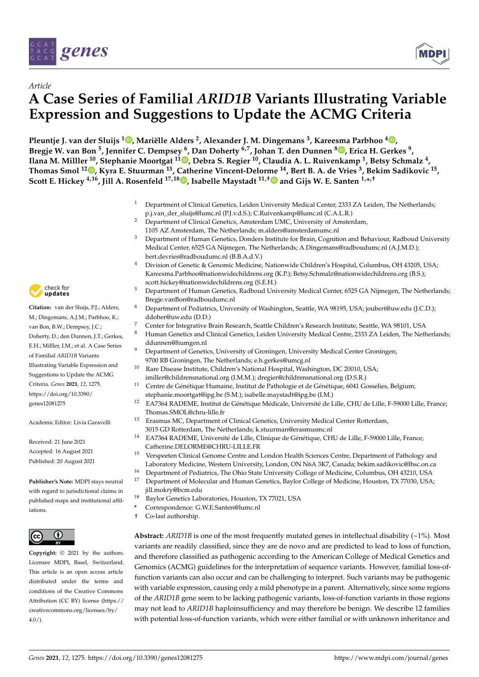

*Article*



# **A Case Series of Familial** *ARID1B* **Variants Illustrating Variable Expression and Suggestions to Update the ACMG Criteria**

**Pleuntje J. van der Sluijs [1](https://orcid.org/0000-0002-1174-2806) , Mariëlle Alders <sup>2</sup> , Alexander J. M. Dingemans <sup>3</sup> , Kareesma Parbhoo <sup>4</sup> [,](https://orcid.org/0000-0002-4806-9571) Bregje W. van Bon <sup>5</sup> , Jennifer C. Dempsey <sup>6</sup> , Dan Doherty 6,7, Johan T. den Dunnen <sup>8</sup> [,](https://orcid.org/0000-0002-6304-1710) Erica H. Gerkes <sup>9</sup> , Ilana M. Milller <sup>10</sup>, Stephanie Moortgat 1[1](https://orcid.org/0000-0002-4783-8674) , Debra S. Regier <sup>10</sup>, Claudia A. L. Ruivenkamp <sup>1</sup> , Betsy Schmalz <sup>4</sup> , Thomas Smol <sup>12</sup> [,](https://orcid.org/0000-0002-0119-5896) Kyra E. Stuurman <sup>13</sup>, Catherine Vincent-Delorme <sup>14</sup>, Bert B. A. de Vries <sup>3</sup> , Bekim Sadikovic <sup>15</sup> , Scott E. Hickey 4,16, Jill A. Rosenfeld 17,18 [,](https://orcid.org/0000-0001-5664-7987) Isabelle Maystadt 11,[†](https://orcid.org/0000-0001-7170-8186) and Gijs W. E. Santen 1,\* ,†**

- <sup>1</sup> Department of Clinical Genetics, Leiden University Medical Center, 2333 ZA Leiden, The Netherlands; p.j.van\_der\_sluijs@lumc.nl (P.J.v.d.S.); C.Ruivenkamp@lumc.nl (C.A.L.R.)
- <sup>2</sup> Department of Clinical Genetics, Amsterdam UMC, University of Amsterdam,
	- 1105 AZ Amsterdam, The Netherlands; m.alders@amsterdamumc.nl
- <sup>3</sup> Department of Human Genetics, Donders Institute for Brain, Cognition and Behaviour, Radboud University Medical Center, 6525 GA Nijmegen, The Netherlands; A.Dingemans@radboudumc.nl (A.J.M.D.); bert.devries@radboudumc.nl (B.B.A.d.V.)
- <sup>4</sup> Division of Genetic & Genomic Medicine, Nationwide Children's Hospital, Columbus, OH 43205, USA; Kareesma.Parbhoo@nationwidechildrens.org (K.P.); Betsy.Schmalz@nationwidechildrens.org (B.S.); scott.hickey@nationwidechildrens.org (S.E.H.)
- <sup>5</sup> Department of Human Genetics, Radboud University Medical Center, 6525 GA Nijmegen, The Netherlands; Bregje.vanBon@radboudumc.nl
- <sup>6</sup> Department of Pediatrics, University of Washington, Seattle, WA 98195, USA; joubert@uw.edu (J.C.D.); ddoher@uw.edu (D.D.)
- <sup>7</sup> Center for Integrative Brain Research, Seattle Children's Research Institute, Seattle, WA 98101, USA
- <sup>8</sup> Human Genetics and Clinical Genetics, Leiden University Medical Centre, 2333 ZA Leiden, The Netherlands; ddunnen@humgen.nl
- <sup>9</sup> Department of Genetics, University of Groningen, University Medical Center Groningen, 9700 RB Groningen, The Netherlands; e.h.gerkes@umcg.nl
- Rare Disease Institute, Children's National Hospital, Washington, DC 20010, USA; imiller@childrensnational.org (I.M.M.); dregier@childrensnational.org (D.S.R.)
- <sup>11</sup> Centre de Génétique Humaine, Institut de Pathologie et de Génétique, 6041 Gosselies, Belgium;
	- stephanie.moortgat@ipg.be (S.M.); isabelle.maystadt@ipg.be (I.M.)
- <sup>12</sup> EA7364 RADEME, Institut de Génétique Médicale, Université de Lille, CHU de Lille, F-59000 Lille, France; Thomas.SMOL@chru-lille.fr
- Erasmus MC, Department of Clinical Genetics, University Medical Center Rotterdam, 3015 GD Rotterdam, The Netherlands; k.stuurman@erasmusmc.nl
- <sup>14</sup> EA7364 RADEME, Université de Lille, Clinique de Génétique, CHU de Lille, F-59000 Lille, France; Catherine.DELORME@CHRU-LILLE.FR
- <sup>15</sup> Verspeeten Clinical Genome Centre and London Health Sciences Centre, Department of Pathology and Laboratory Medicine, Western University, London, ON N6A 3K7, Canada; bekim.sadikovic@lhsc.on.ca
- <sup>16</sup> Department of Pediatrics, The Ohio State University College of Medicine, Columbus, OH 43210, USA
- <sup>17</sup> Department of Molecular and Human Genetics, Baylor College of Medicine, Houston, TX 77030, USA; jill.mokry@bcm.edu
- <sup>18</sup> Baylor Genetics Laboratories, Houston, TX 77021, USA
- **\*** Correspondence: G.W.E.Santen@lumc.nl
- † Co-last authorship.

**Abstract:** *ARID1B* is one of the most frequently mutated genes in intellectual disability  $(-1\%)$ . Most variants are readily classified, since they are de novo and are predicted to lead to loss of function, and therefore classified as pathogenic according to the American College of Medical Genetics and Genomics (ACMG) guidelines for the interpretation of sequence variants. However, familial loss-offunction variants can also occur and can be challenging to interpret. Such variants may be pathogenic with variable expression, causing only a mild phenotype in a parent. Alternatively, since some regions of the *ARID1B* gene seem to be lacking pathogenic variants, loss-of-function variants in those regions may not lead to *ARID1B* haploinsufficiency and may therefore be benign. We describe 12 families with potential loss-of-function variants, which were either familial or with unknown inheritance and



**Citation:** van der Sluijs, P.J.; Alders, M.; Dingemans, A.J.M.; Parbhoo, K.; van Bon, B.W.; Dempsey, J.C.; Doherty, D.; den Dunnen, J.T.; Gerkes, E.H.; Milller, I.M.; et al. A Case Series of Familial *ARID1B* Variants Illustrating Variable Expression and Suggestions to Update the ACMG Criteria. *Genes* **2021**, *12*, 1275. [https://doi.org/10.3390/](https://doi.org/10.3390/genes12081275) [genes12081275](https://doi.org/10.3390/genes12081275)

Academic Editor: Livia Garavelli

Received: 21 June 2021 Accepted: 16 August 2021 Published: 20 August 2021

**Publisher's Note:** MDPI stays neutral with regard to jurisdictional claims in published maps and institutional affiliations.



**Copyright:** © 2021 by the authors. Licensee MDPI, Basel, Switzerland. This article is an open access article distributed under the terms and conditions of the Creative Commons Attribution (CC BY) license (https:/[/](https://creativecommons.org/licenses/by/4.0/) [creativecommons.org/licenses/by/](https://creativecommons.org/licenses/by/4.0/)  $4.0/$ ).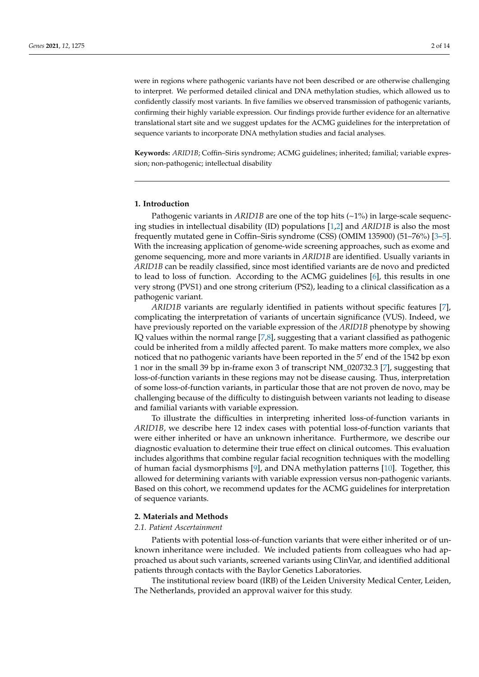were in regions where pathogenic variants have not been described or are otherwise challenging to interpret. We performed detailed clinical and DNA methylation studies, which allowed us to confidently classify most variants. In five families we observed transmission of pathogenic variants, confirming their highly variable expression. Our findings provide further evidence for an alternative translational start site and we suggest updates for the ACMG guidelines for the interpretation of sequence variants to incorporate DNA methylation studies and facial analyses.

**Keywords:** *ARID1B*; Coffin–Siris syndrome; ACMG guidelines; inherited; familial; variable expression; non-pathogenic; intellectual disability

# **1. Introduction**

Pathogenic variants in *ARID1B* are one of the top hits (~1%) in large-scale sequencing studies in intellectual disability (ID) populations [\[1](#page-11-0)[,2\]](#page-11-1) and *ARID1B* is also the most frequently mutated gene in Coffin–Siris syndrome (CSS) (OMIM 135900) (51–76%) [\[3](#page-11-2)[–5\]](#page-12-0). With the increasing application of genome-wide screening approaches, such as exome and genome sequencing, more and more variants in *ARID1B* are identified. Usually variants in *ARID1B* can be readily classified, since most identified variants are de novo and predicted to lead to loss of function. According to the ACMG guidelines [\[6\]](#page-12-1), this results in one very strong (PVS1) and one strong criterium (PS2), leading to a clinical classification as a pathogenic variant.

*ARID1B* variants are regularly identified in patients without specific features [\[7\]](#page-12-2), complicating the interpretation of variants of uncertain significance (VUS). Indeed, we have previously reported on the variable expression of the *ARID1B* phenotype by showing IQ values within the normal range [\[7](#page-12-2)[,8\]](#page-12-3), suggesting that a variant classified as pathogenic could be inherited from a mildly affected parent. To make matters more complex, we also noticed that no pathogenic variants have been reported in the  $5'$  end of the 1542 bp exon 1 nor in the small 39 bp in-frame exon 3 of transcript NM\_020732.3 [\[7\]](#page-12-2), suggesting that loss-of-function variants in these regions may not be disease causing. Thus, interpretation of some loss-of-function variants, in particular those that are not proven de novo, may be challenging because of the difficulty to distinguish between variants not leading to disease and familial variants with variable expression.

To illustrate the difficulties in interpreting inherited loss-of-function variants in *ARID1B*, we describe here 12 index cases with potential loss-of-function variants that were either inherited or have an unknown inheritance. Furthermore, we describe our diagnostic evaluation to determine their true effect on clinical outcomes. This evaluation includes algorithms that combine regular facial recognition techniques with the modelling of human facial dysmorphisms [\[9\]](#page-12-4), and DNA methylation patterns [\[10\]](#page-12-5). Together, this allowed for determining variants with variable expression versus non-pathogenic variants. Based on this cohort, we recommend updates for the ACMG guidelines for interpretation of sequence variants.

#### **2. Materials and Methods**

#### *2.1. Patient Ascertainment*

Patients with potential loss-of-function variants that were either inherited or of unknown inheritance were included. We included patients from colleagues who had approached us about such variants, screened variants using ClinVar, and identified additional patients through contacts with the Baylor Genetics Laboratories.

The institutional review board (IRB) of the Leiden University Medical Center, Leiden, The Netherlands, provided an approval waiver for this study.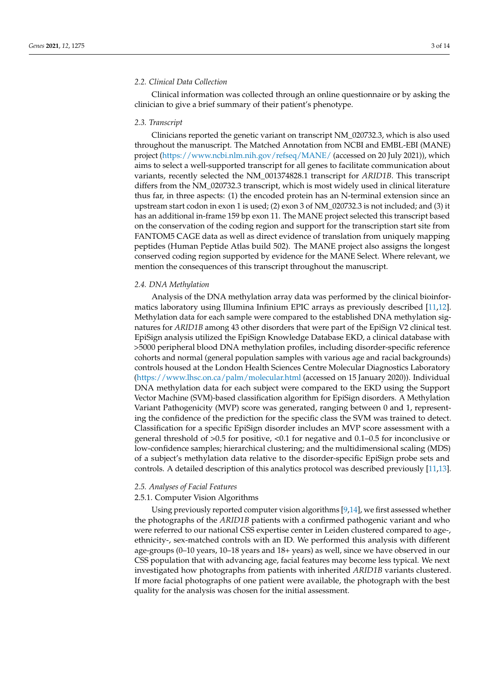# *2.2. Clinical Data Collection*

Clinical information was collected through an online questionnaire or by asking the clinician to give a brief summary of their patient's phenotype.

#### *2.3. Transcript*

Clinicians reported the genetic variant on transcript NM\_020732.3, which is also used throughout the manuscript. The Matched Annotation from NCBI and EMBL-EBI (MANE) project [\(https://www.ncbi.nlm.nih.gov/refseq/MANE/](https://www.ncbi.nlm.nih.gov/refseq/MANE/) (accessed on 20 July 2021)), which aims to select a well-supported transcript for all genes to facilitate communication about variants, recently selected the NM\_001374828.1 transcript for *ARID1B*. This transcript differs from the NM\_020732.3 transcript, which is most widely used in clinical literature thus far, in three aspects: (1) the encoded protein has an N-terminal extension since an upstream start codon in exon 1 is used; (2) exon 3 of NM\_020732.3 is not included; and (3) it has an additional in-frame 159 bp exon 11. The MANE project selected this transcript based on the conservation of the coding region and support for the transcription start site from FANTOM5 CAGE data as well as direct evidence of translation from uniquely mapping peptides (Human Peptide Atlas build 502). The MANE project also assigns the longest conserved coding region supported by evidence for the MANE Select. Where relevant, we mention the consequences of this transcript throughout the manuscript.

# *2.4. DNA Methylation*

Analysis of the DNA methylation array data was performed by the clinical bioinformatics laboratory using Illumina Infinium EPIC arrays as previously described [\[11,](#page-12-6)[12\]](#page-12-7). Methylation data for each sample were compared to the established DNA methylation signatures for *ARID1B* among 43 other disorders that were part of the EpiSign V2 clinical test. EpiSign analysis utilized the EpiSign Knowledge Database EKD, a clinical database with >5000 peripheral blood DNA methylation profiles, including disorder-specific reference cohorts and normal (general population samples with various age and racial backgrounds) controls housed at the London Health Sciences Centre Molecular Diagnostics Laboratory [\(https://www.lhsc.on.ca/palm/molecular.html](https://www.lhsc.on.ca/palm/molecular.html) (accessed on 15 January 2020)). Individual DNA methylation data for each subject were compared to the EKD using the Support Vector Machine (SVM)-based classification algorithm for EpiSign disorders. A Methylation Variant Pathogenicity (MVP) score was generated, ranging between 0 and 1, representing the confidence of the prediction for the specific class the SVM was trained to detect. Classification for a specific EpiSign disorder includes an MVP score assessment with a general threshold of >0.5 for positive, <0.1 for negative and 0.1–0.5 for inconclusive or low-confidence samples; hierarchical clustering; and the multidimensional scaling (MDS) of a subject's methylation data relative to the disorder-specific EpiSign probe sets and controls. A detailed description of this analytics protocol was described previously [\[11](#page-12-6)[,13\]](#page-12-8).

### *2.5. Analyses of Facial Features*

# 2.5.1. Computer Vision Algorithms

Using previously reported computer vision algorithms  $[9,14]$  $[9,14]$ , we first assessed whether the photographs of the *ARID1B* patients with a confirmed pathogenic variant and who were referred to our national CSS expertise center in Leiden clustered compared to age-, ethnicity-, sex-matched controls with an ID. We performed this analysis with different age-groups (0–10 years, 10–18 years and 18+ years) as well, since we have observed in our CSS population that with advancing age, facial features may become less typical. We next investigated how photographs from patients with inherited *ARID1B* variants clustered. If more facial photographs of one patient were available, the photograph with the best quality for the analysis was chosen for the initial assessment.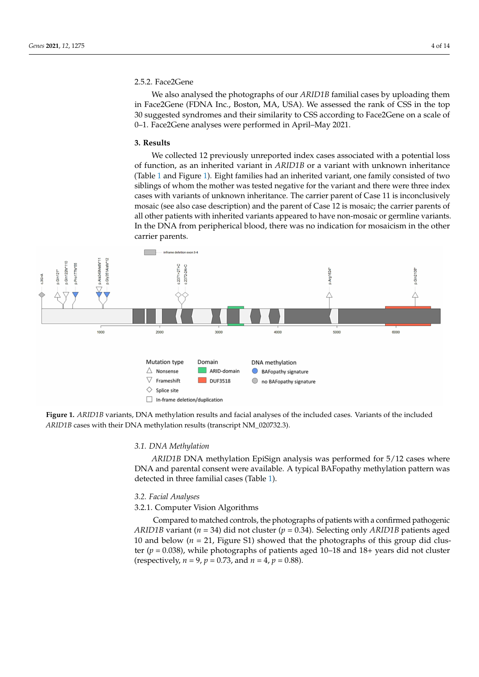# 2.5.2. Face2Gene

We also analysed the photographs of our *ARID1B* familial cases by uploading them in Face2Gene (FDNA Inc., Boston, MA, USA). We assessed the rank of CSS in the top 30 suggested syndromes and their similarity to CSS according to Face2Gene on a scale of 0–1. Face2Gene analyses were performed in April–May 2021.

#### **3. Results**

We collected 12 previously unreported index cases associated with a potential loss of function, as an inherited variant in *ARID1B* or a variant with unknown inheritance (Table [1](#page-4-0) and Figure [1\)](#page-3-0). Eight families had an inherited variant, one family consisted of two siblings of whom the mother was tested negative for the variant and there were three index cases with variants of unknown inheritance. The carrier parent of Case 11 is inconclusively mosaic (see also case description) and the parent of Case 12 is mosaic; the carrier parents of all other patients with inherited variants appeared to have non-mosaic or germline variants. In the DNA from peripherical blood, there was no indication for mosaicism in the other carrier parents.

<span id="page-3-0"></span>

**Figure 1.** *ARID1B* variants, DNA methylation results and facial analyses of the included cases. Variants of the included *ARID1B* cases with their DNA methylation results (transcript NM\_020732.3).

### *3.1. DNA Methylation*

*ARID1B* DNA methylation EpiSign analysis was performed for 5/12 cases where DNA and parental consent were available. A typical BAFopathy methylation pattern was detected in three familial cases (Table [1\)](#page-4-0).

### *3.2. Facial Analyses*

3.2.1. Computer Vision Algorithms

Compared to matched controls, the photographs of patients with a confirmed pathogenic *ARID1B* variant (*n* = 34) did not cluster (*p* = 0.34). Selecting only *ARID1B* patients aged 10 and below  $(n = 21)$ , Figure S1) showed that the photographs of this group did cluster (*p* = 0.038), while photographs of patients aged 10–18 and 18+ years did not cluster (respectively,  $n = 9$ ,  $p = 0.73$ , and  $n = 4$ ,  $p = 0.88$ ).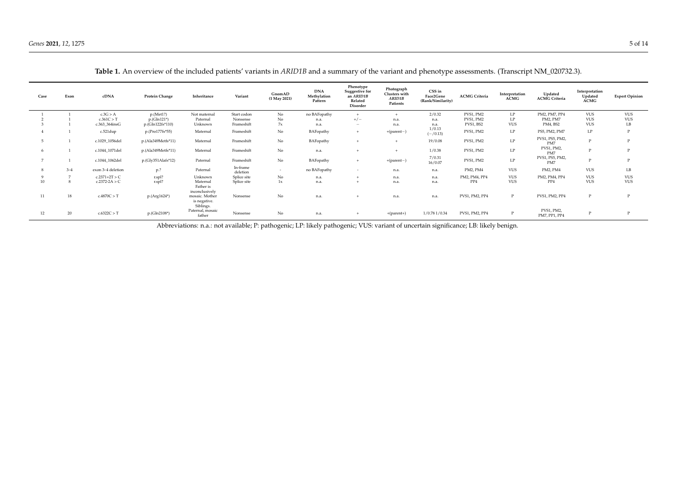| Case             | Exon    | cDNA              | <b>Protein Change</b> | Inheritance                                 | Variant              | GnomAD<br>$(1$ May 2021) | <b>DNA</b><br>Methylation<br>Pattern | Phenotype<br>Suggestive for<br>an ARID1B<br>Related<br>Disorder | Photograph<br>Clusters with<br>ARID1B<br>Patients | CSS in<br>Face2Gene<br>(Rank/Similarity) | <b>ACMG Criteria</b> | Interpretation<br><b>ACMG</b> | Updated<br><b>ACMG</b> Criteria | Interpretation<br>Updated<br><b>ACMG</b> | <b>Expert Opinion</b> |
|------------------|---------|-------------------|-----------------------|---------------------------------------------|----------------------|--------------------------|--------------------------------------|-----------------------------------------------------------------|---------------------------------------------------|------------------------------------------|----------------------|-------------------------------|---------------------------------|------------------------------------------|-----------------------|
|                  |         | c.3G > A          | p.(Met1?)             | Not maternal                                | Start codon          | No                       | no BAFopathy                         |                                                                 | $+$                                               | 2/0.32                                   | PVS1, PM2            | LP                            | PM2, PM7, PP4                   | <b>VUS</b>                               | <b>VUS</b>            |
|                  |         | c.361C > T        | $p.(Gln121*)$         | Paternal                                    | Nonsense             | No                       | n.a.                                 | $+/-$                                                           | n.a.                                              | n.a.                                     | PVS1, PM2            | LP                            | PM2, PM7                        | <b>VUS</b>                               | <b>VUS</b>            |
|                  |         | c.363_364insG     | $p.(Gln122fs*110)$    | Unknown                                     | Frameshift           | 7x                       | n.a.                                 | $\overline{\phantom{a}}$                                        | n.a.                                              | n.a.                                     | PVS1, BS2            | <b>VUS</b>                    | PM4, BS2                        | <b>VUS</b>                               | LB                    |
|                  |         | c.521dup          | p.(Pro177fs*55)       | Maternal                                    | Frameshift           | No                       | BAFopathy                            | $+$                                                             | $+(parent-)$                                      | 1/0.13<br>$(-/0.13)$                     | PVS1, PM2            | LP                            | PS5, PM2, PM7                   | LP                                       | $\mathbf P$           |
|                  |         | c.1029_1056del    | p.(Ala349Metfs*11)    | Maternal                                    | Frameshift           | No                       | BAFopathy                            | $+$                                                             | $+$                                               | 19/0.08                                  | PVS1, PM2            | $\mathrm{LP}$                 | PVS1, PS5, PM2,<br>PM7          |                                          | $\mathbf{P}$          |
|                  |         | c.1044 1071del    | p.(Ala349Metfs*11)    | Maternal                                    | Frameshift           | No                       | n.a.                                 | $\pm$                                                           | $+$                                               | 1/0.38                                   | PVS1, PM2            | LP                            | PVS1, PM2,<br>PM7               |                                          | $\mathbf{P}$          |
|                  |         | c.1044_1062del    | p.(Gly351Alafs*12)    | Paternal                                    | Frameshift           | No                       | BAFopathy                            | $+$                                                             | $+(parent-)$                                      | 7/0.31<br>16/0.07                        | PVS1, PM2            | LP                            | PVS1, PS5, PM2,<br>PM7          |                                          | $\mathbf{P}$          |
|                  | $3 - 4$ | exon 3-4 deletion | p.?                   | Paternal                                    | In-frame<br>deletion | $\overline{a}$           | no BAFopathy                         | $\sim$                                                          | n.a.                                              | n.a.                                     | PM2, PM4             | <b>VUS</b>                    | PM2, PM4                        | <b>VUS</b>                               | LB                    |
|                  | -       | $c.2371+2T > C$   | r.spl?                | Unknown                                     | Splice site          | No                       | n.a.                                 |                                                                 | n.a.                                              | n.a.                                     | PM2, PM4, PP4        | <b>VUS</b>                    | PM2, PM4, PP4                   | <b>VUS</b>                               | <b>VUS</b>            |
| 10 <sup>10</sup> |         | $c.2372 - 2A > C$ | r.spl?                | Maternal<br>Father is<br>inconclusively     | Splice site          | 1x                       | n.a.                                 |                                                                 | n.a.                                              | n.a.                                     | PP4                  | <b>VUS</b>                    | PP4                             | <b>VUS</b>                               | VUS                   |
| 11               | 18      | c.4870C > T       | $p.(Arg1624*)$        | mosaic. Mother<br>is negative.<br>Siblings. | Nonsense             | No                       | n.a.                                 |                                                                 | n.a.                                              | n.a.                                     | PVS1, PM2, PP4       | P                             | PVS1, PM2, PP4                  |                                          | $\mathbf{P}$          |
| 12               | 20      | c.6322C > T       | p.(Gln2108*)          | Paternal, mosaic<br>father                  | Nonsense             | No                       | n.a.                                 | $+$                                                             | $+(parent+)$                                      | 1/0.78 1/0.34                            | PVS1, PM2, PP4       | $\mathbf{P}$                  | PVS1, PM2,<br>PM7, PP1, PP4     |                                          | $\mathbf{p}$          |

**Table 1.** An overview of the included patients' variants in *ARID1B* and a summary of the variant and phenotype assessments. (Transcript NM\_020732.3).

<span id="page-4-0"></span>Abbreviations: n.a.: not available; P: pathogenic; LP: likely pathogenic; VUS: variant of uncertain significance; LB: likely benign.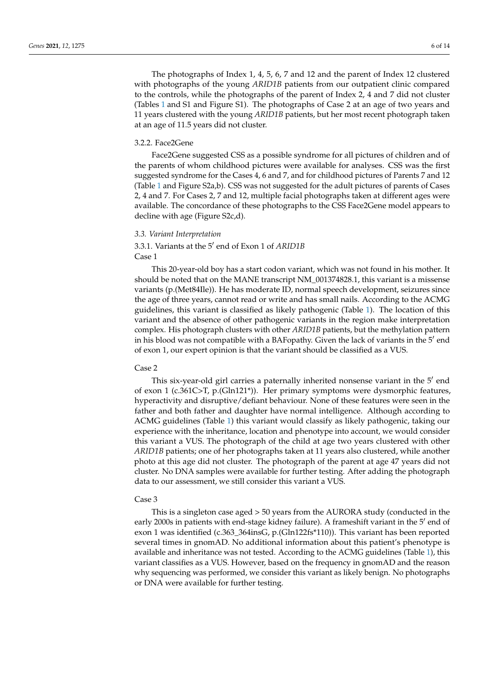The photographs of Index 1, 4, 5, 6, 7 and 12 and the parent of Index 12 clustered with photographs of the young *ARID1B* patients from our outpatient clinic compared to the controls, while the photographs of the parent of Index 2, 4 and 7 did not cluster (Tables [1](#page-4-0) and S1 and Figure S1). The photographs of Case 2 at an age of two years and 11 years clustered with the young *ARID1B* patients, but her most recent photograph taken at an age of 11.5 years did not cluster.

#### 3.2.2. Face2Gene

Face2Gene suggested CSS as a possible syndrome for all pictures of children and of the parents of whom childhood pictures were available for analyses. CSS was the first suggested syndrome for the Cases 4, 6 and 7, and for childhood pictures of Parents 7 and 12 (Table [1](#page-4-0) and Figure S2a,b). CSS was not suggested for the adult pictures of parents of Cases 2, 4 and 7. For Cases 2, 7 and 12, multiple facial photographs taken at different ages were available. The concordance of these photographs to the CSS Face2Gene model appears to decline with age (Figure S2c,d).

#### *3.3. Variant Interpretation*

# 3.3.1. Variants at the 5' end of Exon 1 of *ARID1B* Case 1

This 20-year-old boy has a start codon variant, which was not found in his mother. It should be noted that on the MANE transcript NM\_001374828.1, this variant is a missense variants (p.(Met84Ile)). He has moderate ID, normal speech development, seizures since the age of three years, cannot read or write and has small nails. According to the ACMG guidelines, this variant is classified as likely pathogenic (Table [1\)](#page-4-0). The location of this variant and the absence of other pathogenic variants in the region make interpretation complex. His photograph clusters with other *ARID1B* patients, but the methylation pattern in his blood was not compatible with a BAFopathy. Given the lack of variants in the 5' end of exon 1, our expert opinion is that the variant should be classified as a VUS.

# Case 2

This six-year-old girl carries a paternally inherited nonsense variant in the  $5'$  end of exon 1 (c.361C>T, p.(Gln121\*)). Her primary symptoms were dysmorphic features, hyperactivity and disruptive/defiant behaviour. None of these features were seen in the father and both father and daughter have normal intelligence. Although according to ACMG guidelines (Table [1\)](#page-4-0) this variant would classify as likely pathogenic, taking our experience with the inheritance, location and phenotype into account, we would consider this variant a VUS. The photograph of the child at age two years clustered with other *ARID1B* patients; one of her photographs taken at 11 years also clustered, while another photo at this age did not cluster. The photograph of the parent at age 47 years did not cluster. No DNA samples were available for further testing. After adding the photograph data to our assessment, we still consider this variant a VUS.

#### Case 3

This is a singleton case aged > 50 years from the AURORA study (conducted in the early 2000s in patients with end-stage kidney failure). A frameshift variant in the 5' end of exon 1 was identified (c.363\_364insG, p.(Gln122fs\*110)). This variant has been reported several times in gnomAD. No additional information about this patient's phenotype is available and inheritance was not tested. According to the ACMG guidelines (Table [1\)](#page-4-0), this variant classifies as a VUS. However, based on the frequency in gnomAD and the reason why sequencing was performed, we consider this variant as likely benign. No photographs or DNA were available for further testing.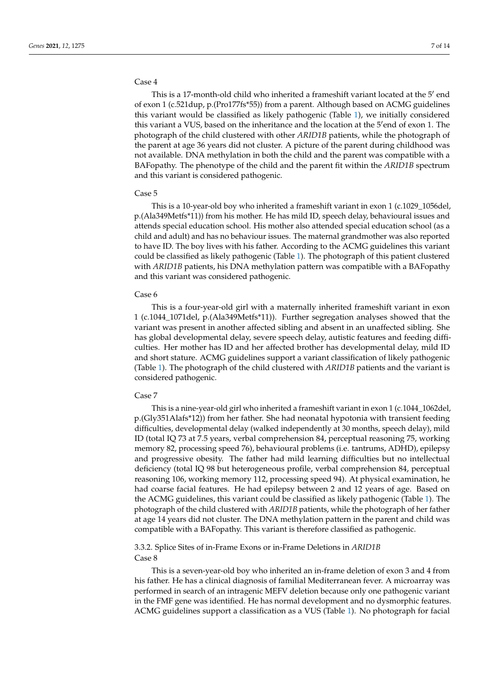#### Case 4

This is a 17-month-old child who inherited a frameshift variant located at the  $5'$  end of exon 1 (c.521dup, p.(Pro177fs\*55)) from a parent. Although based on ACMG guidelines this variant would be classified as likely pathogenic (Table [1\)](#page-4-0), we initially considered this variant a VUS, based on the inheritance and the location at the 5'end of exon 1. The photograph of the child clustered with other *ARID1B* patients, while the photograph of the parent at age 36 years did not cluster. A picture of the parent during childhood was not available. DNA methylation in both the child and the parent was compatible with a BAFopathy. The phenotype of the child and the parent fit within the *ARID1B* spectrum and this variant is considered pathogenic.

#### Case 5

This is a 10-year-old boy who inherited a frameshift variant in exon 1 (c.1029\_1056del, p.(Ala349Metfs\*11)) from his mother. He has mild ID, speech delay, behavioural issues and attends special education school. His mother also attended special education school (as a child and adult) and has no behaviour issues. The maternal grandmother was also reported to have ID. The boy lives with his father. According to the ACMG guidelines this variant could be classified as likely pathogenic (Table [1\)](#page-4-0). The photograph of this patient clustered with *ARID1B* patients, his DNA methylation pattern was compatible with a BAFopathy and this variant was considered pathogenic.

#### Case 6

This is a four-year-old girl with a maternally inherited frameshift variant in exon 1 (c.1044\_1071del, p.(Ala349Metfs\*11)). Further segregation analyses showed that the variant was present in another affected sibling and absent in an unaffected sibling. She has global developmental delay, severe speech delay, autistic features and feeding difficulties. Her mother has ID and her affected brother has developmental delay, mild ID and short stature. ACMG guidelines support a variant classification of likely pathogenic (Table [1\)](#page-4-0). The photograph of the child clustered with *ARID1B* patients and the variant is considered pathogenic.

# Case 7

This is a nine-year-old girl who inherited a frameshift variant in exon 1 (c.1044\_1062del, p.(Gly351Alafs\*12)) from her father. She had neonatal hypotonia with transient feeding difficulties, developmental delay (walked independently at 30 months, speech delay), mild ID (total IQ 73 at 7.5 years, verbal comprehension 84, perceptual reasoning 75, working memory 82, processing speed 76), behavioural problems (i.e. tantrums, ADHD), epilepsy and progressive obesity. The father had mild learning difficulties but no intellectual deficiency (total IQ 98 but heterogeneous profile, verbal comprehension 84, perceptual reasoning 106, working memory 112, processing speed 94). At physical examination, he had coarse facial features. He had epilepsy between 2 and 12 years of age. Based on the ACMG guidelines, this variant could be classified as likely pathogenic (Table [1\)](#page-4-0). The photograph of the child clustered with *ARID1B* patients, while the photograph of her father at age 14 years did not cluster. The DNA methylation pattern in the parent and child was compatible with a BAFopathy. This variant is therefore classified as pathogenic.

# 3.3.2. Splice Sites of in-Frame Exons or in-Frame Deletions in *ARID1B* Case 8

This is a seven-year-old boy who inherited an in-frame deletion of exon 3 and 4 from his father. He has a clinical diagnosis of familial Mediterranean fever. A microarray was performed in search of an intragenic MEFV deletion because only one pathogenic variant in the FMF gene was identified. He has normal development and no dysmorphic features. ACMG guidelines support a classification as a VUS (Table [1\)](#page-4-0). No photograph for facial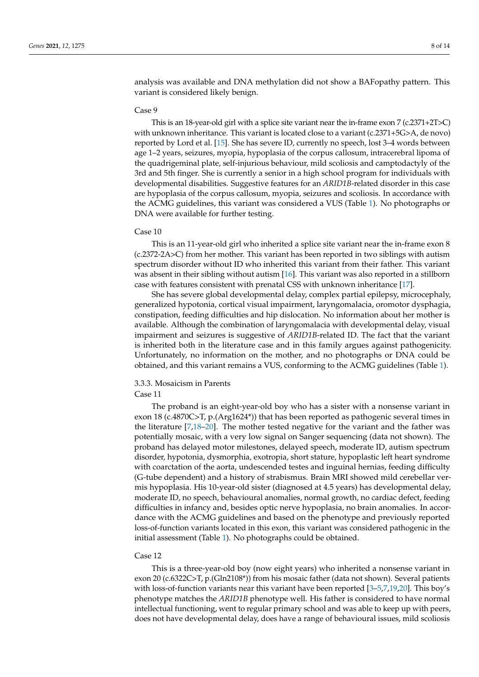analysis was available and DNA methylation did not show a BAFopathy pattern. This variant is considered likely benign.

#### Case 9

This is an 18-year-old girl with a splice site variant near the in-frame exon 7 (c.2371+2T>C) with unknown inheritance. This variant is located close to a variant (c.2371+5G>A, de novo) reported by Lord et al. [\[15\]](#page-12-10). She has severe ID, currently no speech, lost 3–4 words between age 1–2 years, seizures, myopia, hypoplasia of the corpus callosum, intracerebral lipoma of the quadrigeminal plate, self-injurious behaviour, mild scoliosis and camptodactyly of the 3rd and 5th finger. She is currently a senior in a high school program for individuals with developmental disabilities. Suggestive features for an *ARID1B*-related disorder in this case are hypoplasia of the corpus callosum, myopia, seizures and scoliosis. In accordance with the ACMG guidelines, this variant was considered a VUS (Table [1\)](#page-4-0). No photographs or DNA were available for further testing.

#### Case 10

This is an 11-year-old girl who inherited a splice site variant near the in-frame exon 8 (c.2372-2A>C) from her mother. This variant has been reported in two siblings with autism spectrum disorder without ID who inherited this variant from their father. This variant was absent in their sibling without autism [\[16\]](#page-12-11). This variant was also reported in a stillborn case with features consistent with prenatal CSS with unknown inheritance [\[17\]](#page-12-12).

She has severe global developmental delay, complex partial epilepsy, microcephaly, generalized hypotonia, cortical visual impairment, laryngomalacia, oromotor dysphagia, constipation, feeding difficulties and hip dislocation. No information about her mother is available. Although the combination of laryngomalacia with developmental delay, visual impairment and seizures is suggestive of *ARID1B*-related ID. The fact that the variant is inherited both in the literature case and in this family argues against pathogenicity. Unfortunately, no information on the mother, and no photographs or DNA could be obtained, and this variant remains a VUS, conforming to the ACMG guidelines (Table [1\)](#page-4-0).

# 3.3.3. Mosaicism in Parents

# Case 11

The proband is an eight-year-old boy who has a sister with a nonsense variant in exon 18 (c.4870C>T, p.(Arg1624\*)) that has been reported as pathogenic several times in the literature [\[7,](#page-12-2)[18](#page-12-13)[–20\]](#page-12-14). The mother tested negative for the variant and the father was potentially mosaic, with a very low signal on Sanger sequencing (data not shown). The proband has delayed motor milestones, delayed speech, moderate ID, autism spectrum disorder, hypotonia, dysmorphia, exotropia, short stature, hypoplastic left heart syndrome with coarctation of the aorta, undescended testes and inguinal hernias, feeding difficulty (G-tube dependent) and a history of strabismus. Brain MRI showed mild cerebellar vermis hypoplasia. His 10-year-old sister (diagnosed at 4.5 years) has developmental delay, moderate ID, no speech, behavioural anomalies, normal growth, no cardiac defect, feeding difficulties in infancy and, besides optic nerve hypoplasia, no brain anomalies. In accordance with the ACMG guidelines and based on the phenotype and previously reported loss-of-function variants located in this exon, this variant was considered pathogenic in the initial assessment (Table [1\)](#page-4-0). No photographs could be obtained.

#### Case 12

This is a three-year-old boy (now eight years) who inherited a nonsense variant in exon 20 (c.6322C>T, p.(Gln2108\*)) from his mosaic father (data not shown). Several patients with loss-of-function variants near this variant have been reported  $[3-5,7,19,20]$  $[3-5,7,19,20]$  $[3-5,7,19,20]$  $[3-5,7,19,20]$  $[3-5,7,19,20]$ . This boy's phenotype matches the *ARID1B* phenotype well. His father is considered to have normal intellectual functioning, went to regular primary school and was able to keep up with peers, does not have developmental delay, does have a range of behavioural issues, mild scoliosis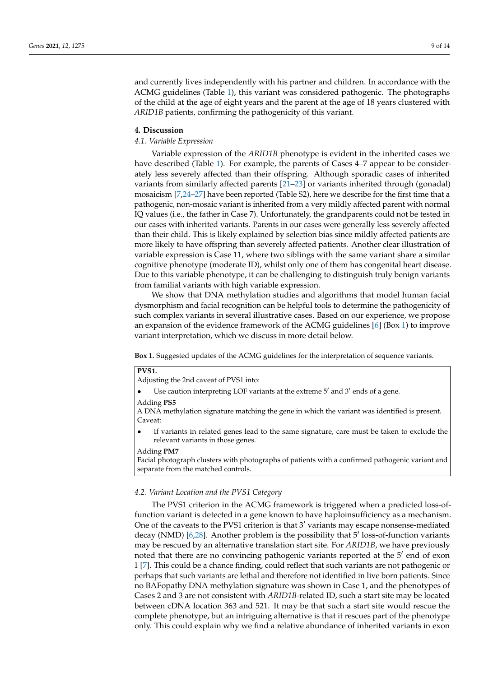and currently lives independently with his partner and children. In accordance with the ACMG guidelines (Table [1\)](#page-4-0), this variant was considered pathogenic. The photographs of the child at the age of eight years and the parent at the age of 18 years clustered with *ARID1B* patients, confirming the pathogenicity of this variant.

# **4. Discussion**

#### *4.1. Variable Expression*

Variable expression of the *ARID1B* phenotype is evident in the inherited cases we have described (Table [1\)](#page-4-0). For example, the parents of Cases 4–7 appear to be considerately less severely affected than their offspring. Although sporadic cases of inherited variants from similarly affected parents [\[21](#page-12-16)[–23\]](#page-12-17) or variants inherited through (gonadal) mosaicism [\[7,](#page-12-2)[24](#page-12-18)[–27\]](#page-13-0) have been reported (Table S2), here we describe for the first time that a pathogenic, non-mosaic variant is inherited from a very mildly affected parent with normal IQ values (i.e., the father in Case 7). Unfortunately, the grandparents could not be tested in our cases with inherited variants. Parents in our cases were generally less severely affected than their child. This is likely explained by selection bias since mildly affected patients are more likely to have offspring than severely affected patients. Another clear illustration of variable expression is Case 11, where two siblings with the same variant share a similar cognitive phenotype (moderate ID), whilst only one of them has congenital heart disease. Due to this variable phenotype, it can be challenging to distinguish truly benign variants from familial variants with high variable expression.

We show that DNA methylation studies and algorithms that model human facial dysmorphism and facial recognition can be helpful tools to determine the pathogenicity of such complex variants in several illustrative cases. Based on our experience, we propose an expansion of the evidence framework of the ACMG guidelines [\[6\]](#page-12-1) (Box [1\)](#page-8-0) to improve variant interpretation, which we discuss in more detail below.

**Box 1.** Suggested updates of the ACMG guidelines for the interpretation of sequence variants.

# **PVS1.**

Adjusting the 2nd caveat of PVS1 into:

• Use caution interpreting LOF variants at the extreme  $5'$  and  $3'$  ends of a gene.

Adding **PS5**

A DNA methylation signature matching the gene in which the variant was identified is present. Caveat:

<span id="page-8-0"></span>If variants in related genes lead to the same signature, care must be taken to exclude the relevant variants in those genes.

Adding **PM7**

Facial photograph clusters with photographs of patients with a confirmed pathogenic variant and separate from the matched controls.

# *4.2. Variant Location and the PVS1 Category*

The PVS1 criterion in the ACMG framework is triggered when a predicted loss-offunction variant is detected in a gene known to have haploinsufficiency as a mechanism. One of the caveats to the PVS1 criterion is that  $3'$  variants may escape nonsense-mediated decay (NMD) [\[6,](#page-12-1)[28\]](#page-13-1). Another problem is the possibility that 5' loss-of-function variants may be rescued by an alternative translation start site. For *ARID1B*, we have previously noted that there are no convincing pathogenic variants reported at the  $5'$  end of exon 1 [\[7\]](#page-12-2). This could be a chance finding, could reflect that such variants are not pathogenic or perhaps that such variants are lethal and therefore not identified in live born patients. Since no BAFopathy DNA methylation signature was shown in Case 1, and the phenotypes of Cases 2 and 3 are not consistent with *ARID1B*-related ID, such a start site may be located between cDNA location 363 and 521. It may be that such a start site would rescue the complete phenotype, but an intriguing alternative is that it rescues part of the phenotype only. This could explain why we find a relative abundance of inherited variants in exon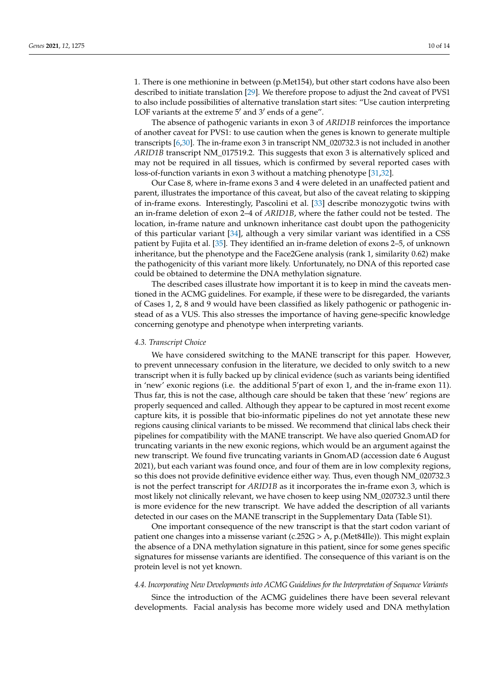1. There is one methionine in between (p.Met154), but other start codons have also been described to initiate translation [\[29\]](#page-13-2). We therefore propose to adjust the 2nd caveat of PVS1 to also include possibilities of alternative translation start sites: "Use caution interpreting LOF variants at the extreme  $5'$  and  $3'$  ends of a gene".

The absence of pathogenic variants in exon 3 of *ARID1B* reinforces the importance of another caveat for PVS1: to use caution when the genes is known to generate multiple transcripts [\[6,](#page-12-1)[30\]](#page-13-3). The in-frame exon 3 in transcript NM\_020732.3 is not included in another *ARID1B* transcript NM\_017519.2. This suggests that exon 3 is alternatively spliced and may not be required in all tissues, which is confirmed by several reported cases with loss-of-function variants in exon 3 without a matching phenotype [\[31](#page-13-4)[,32\]](#page-13-5).

Our Case 8, where in-frame exons 3 and 4 were deleted in an unaffected patient and parent, illustrates the importance of this caveat, but also of the caveat relating to skipping of in-frame exons. Interestingly, Pascolini et al. [\[33\]](#page-13-6) describe monozygotic twins with an in-frame deletion of exon 2–4 of *ARID1B*, where the father could not be tested. The location, in-frame nature and unknown inheritance cast doubt upon the pathogenicity of this particular variant [\[34\]](#page-13-7), although a very similar variant was identified in a CSS patient by Fujita et al. [\[35\]](#page-13-8). They identified an in-frame deletion of exons 2–5, of unknown inheritance, but the phenotype and the Face2Gene analysis (rank 1, similarity 0.62) make the pathogenicity of this variant more likely. Unfortunately, no DNA of this reported case could be obtained to determine the DNA methylation signature.

The described cases illustrate how important it is to keep in mind the caveats mentioned in the ACMG guidelines. For example, if these were to be disregarded, the variants of Cases 1, 2, 8 and 9 would have been classified as likely pathogenic or pathogenic instead of as a VUS. This also stresses the importance of having gene-specific knowledge concerning genotype and phenotype when interpreting variants.

#### *4.3. Transcript Choice*

We have considered switching to the MANE transcript for this paper. However, to prevent unnecessary confusion in the literature, we decided to only switch to a new transcript when it is fully backed up by clinical evidence (such as variants being identified in 'new' exonic regions (i.e. the additional 5'part of exon 1, and the in-frame exon 11). Thus far, this is not the case, although care should be taken that these 'new' regions are properly sequenced and called. Although they appear to be captured in most recent exome capture kits, it is possible that bio-informatic pipelines do not yet annotate these new regions causing clinical variants to be missed. We recommend that clinical labs check their pipelines for compatibility with the MANE transcript. We have also queried GnomAD for truncating variants in the new exonic regions, which would be an argument against the new transcript. We found five truncating variants in GnomAD (accession date 6 August 2021), but each variant was found once, and four of them are in low complexity regions, so this does not provide definitive evidence either way. Thus, even though NM\_020732.3 is not the perfect transcript for *ARID1B* as it incorporates the in-frame exon 3, which is most likely not clinically relevant, we have chosen to keep using NM\_020732.3 until there is more evidence for the new transcript. We have added the description of all variants detected in our cases on the MANE transcript in the Supplementary Data (Table S1).

One important consequence of the new transcript is that the start codon variant of patient one changes into a missense variant (c.252G > A, p.(Met84Ile)). This might explain the absence of a DNA methylation signature in this patient, since for some genes specific signatures for missense variants are identified. The consequence of this variant is on the protein level is not yet known.

# *4.4. Incorporating New Developments into ACMG Guidelines for the Interpretation of Sequence Variants*

Since the introduction of the ACMG guidelines there have been several relevant developments. Facial analysis has become more widely used and DNA methylation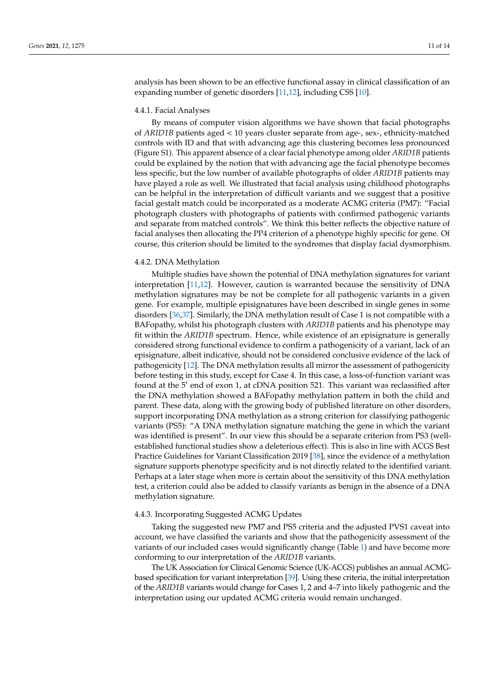analysis has been shown to be an effective functional assay in clinical classification of an expanding number of genetic disorders [\[11](#page-12-6)[,12\]](#page-12-7), including CSS [\[10\]](#page-12-5).

#### 4.4.1. Facial Analyses

By means of computer vision algorithms we have shown that facial photographs of *ARID1B* patients aged < 10 years cluster separate from age-, sex-, ethnicity-matched controls with ID and that with advancing age this clustering becomes less pronounced (Figure S1). This apparent absence of a clear facial phenotype among older *ARID1B* patients could be explained by the notion that with advancing age the facial phenotype becomes less specific, but the low number of available photographs of older *ARID1B* patients may have played a role as well. We illustrated that facial analysis using childhood photographs can be helpful in the interpretation of difficult variants and we suggest that a positive facial gestalt match could be incorporated as a moderate ACMG criteria (PM7): "Facial photograph clusters with photographs of patients with confirmed pathogenic variants and separate from matched controls". We think this better reflects the objective nature of facial analyses then allocating the PP4 criterion of a phenotype highly specific for gene. Of course, this criterion should be limited to the syndromes that display facial dysmorphism.

#### 4.4.2. DNA Methylation

Multiple studies have shown the potential of DNA methylation signatures for variant interpretation [\[11,](#page-12-6)[12\]](#page-12-7). However, caution is warranted because the sensitivity of DNA methylation signatures may be not be complete for all pathogenic variants in a given gene. For example, multiple episignatures have been described in single genes in some disorders [\[36](#page-13-9)[,37\]](#page-13-10). Similarly, the DNA methylation result of Case 1 is not compatible with a BAFopathy, whilst his photograph clusters with *ARID1B* patients and his phenotype may fit within the *ARID1B* spectrum. Hence, while existence of an episignature is generally considered strong functional evidence to confirm a pathogenicity of a variant, lack of an episignature, albeit indicative, should not be considered conclusive evidence of the lack of pathogenicity [\[12\]](#page-12-7). The DNA methylation results all mirror the assessment of pathogenicity before testing in this study, except for Case 4. In this case, a loss-of-function variant was found at the 5' end of exon 1, at cDNA position 521. This variant was reclassified after the DNA methylation showed a BAFopathy methylation pattern in both the child and parent. These data, along with the growing body of published literature on other disorders, support incorporating DNA methylation as a strong criterion for classifying pathogenic variants (PS5): "A DNA methylation signature matching the gene in which the variant was identified is present". In our view this should be a separate criterion from PS3 (wellestablished functional studies show a deleterious effect). This is also in line with ACGS Best Practice Guidelines for Variant Classification 2019 [\[38\]](#page-13-11), since the evidence of a methylation signature supports phenotype specificity and is not directly related to the identified variant. Perhaps at a later stage when more is certain about the sensitivity of this DNA methylation test, a criterion could also be added to classify variants as benign in the absence of a DNA methylation signature.

# 4.4.3. Incorporating Suggested ACMG Updates

Taking the suggested new PM7 and PS5 criteria and the adjusted PVS1 caveat into account, we have classified the variants and show that the pathogenicity assessment of the variants of our included cases would significantly change (Table [1\)](#page-4-0) and have become more conforming to our interpretation of the *ARID1B* variants.

The UK Association for Clinical Genomic Science (UK-ACGS) publishes an annual ACMGbased specification for variant interpretation [\[39\]](#page-13-12). Using these criteria, the initial interpretation of the *ARID1B* variants would change for Cases 1, 2 and 4–7 into likely pathogenic and the interpretation using our updated ACMG criteria would remain unchanged.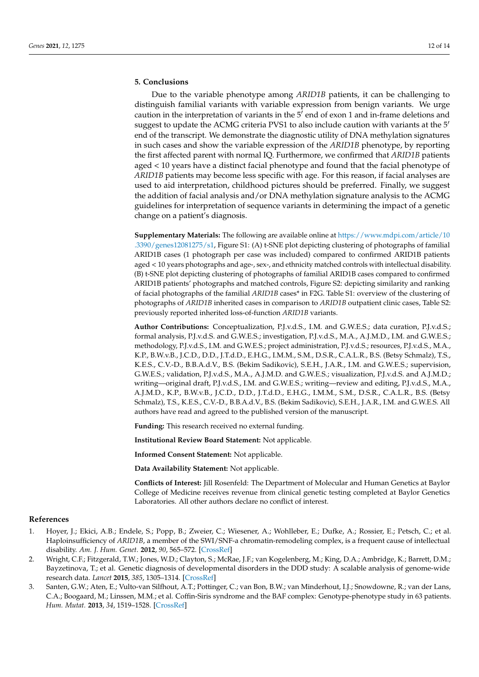# **5. Conclusions**

Due to the variable phenotype among *ARID1B* patients, it can be challenging to distinguish familial variants with variable expression from benign variants. We urge caution in the interpretation of variants in the  $5<sup>7</sup>$  end of exon 1 and in-frame deletions and suggest to update the ACMG criteria PVS1 to also include caution with variants at the  $5<sup>′</sup>$ end of the transcript. We demonstrate the diagnostic utility of DNA methylation signatures in such cases and show the variable expression of the *ARID1B* phenotype, by reporting the first affected parent with normal IQ. Furthermore, we confirmed that *ARID1B* patients aged < 10 years have a distinct facial phenotype and found that the facial phenotype of *ARID1B* patients may become less specific with age. For this reason, if facial analyses are used to aid interpretation, childhood pictures should be preferred. Finally, we suggest the addition of facial analysis and/or DNA methylation signature analysis to the ACMG guidelines for interpretation of sequence variants in determining the impact of a genetic change on a patient's diagnosis.

**Supplementary Materials:** The following are available online at [https://www.mdpi.com/article/10](https://www.mdpi.com/article/10.3390/genes12081275/s1) [.3390/genes12081275/s1,](https://www.mdpi.com/article/10.3390/genes12081275/s1) Figure S1: (A) t-SNE plot depicting clustering of photographs of familial ARID1B cases (1 photograph per case was included) compared to confirmed ARID1B patients aged < 10 years photographs and age-, sex-, and ethnicity matched controls with intellectual disability. (B) t-SNE plot depicting clustering of photographs of familial ARID1B cases compared to confirmed ARID1B patients' photographs and matched controls, Figure S2: depicting similarity and ranking of facial photographs of the familial *ARID1B* cases\* in F2G. Table S1: overview of the clustering of photographs of *ARID1B* inherited cases in comparison to *ARID1B* outpatient clinic cases, Table S2: previously reported inherited loss-of-function *ARID1B* variants.

**Author Contributions:** Conceptualization, P.J.v.d.S., I.M. and G.W.E.S.; data curation, P.J.v.d.S.; formal analysis, P.J.v.d.S. and G.W.E.S.; investigation, P.J.v.d.S., M.A., A.J.M.D., I.M. and G.W.E.S.; methodology, P.J.v.d.S., I.M. and G.W.E.S.; project administration, P.J.v.d.S.; resources, P.J.v.d.S., M.A., K.P., B.W.v.B., J.C.D., D.D., J.T.d.D., E.H.G., I.M.M., S.M., D.S.R., C.A.L.R., B.S. (Betsy Schmalz), T.S., K.E.S., C.V.-D., B.B.A.d.V., B.S. (Bekim Sadikovic), S.E.H., J.A.R., I.M. and G.W.E.S.; supervision, G.W.E.S.; validation, P.J.v.d.S., M.A., A.J.M.D. and G.W.E.S.; visualization, P.J.v.d.S. and A.J.M.D.; writing—original draft, P.J.v.d.S., I.M. and G.W.E.S.; writing—review and editing, P.J.v.d.S., M.A., A.J.M.D., K.P., B.W.v.B., J.C.D., D.D., J.T.d.D., E.H.G., I.M.M., S.M., D.S.R., C.A.L.R., B.S. (Betsy Schmalz), T.S., K.E.S., C.V.-D., B.B.A.d.V., B.S. (Bekim Sadikovic), S.E.H., J.A.R., I.M. and G.W.E.S. All authors have read and agreed to the published version of the manuscript.

**Funding:** This research received no external funding.

**Institutional Review Board Statement:** Not applicable.

**Informed Consent Statement:** Not applicable.

**Data Availability Statement:** Not applicable.

**Conflicts of Interest:** Jill Rosenfeld: The Department of Molecular and Human Genetics at Baylor College of Medicine receives revenue from clinical genetic testing completed at Baylor Genetics Laboratories. All other authors declare no conflict of interest.

#### **References**

- <span id="page-11-0"></span>1. Hoyer, J.; Ekici, A.B.; Endele, S.; Popp, B.; Zweier, C.; Wiesener, A.; Wohlleber, E.; Dufke, A.; Rossier, E.; Petsch, C.; et al. Haploinsufficiency of *ARID1B*, a member of the SWI/SNF-a chromatin-remodeling complex, is a frequent cause of intellectual disability. *Am. J. Hum. Genet.* **2012**, *90*, 565–572. [\[CrossRef\]](http://doi.org/10.1016/j.ajhg.2012.02.007)
- <span id="page-11-1"></span>2. Wright, C.F.; Fitzgerald, T.W.; Jones, W.D.; Clayton, S.; McRae, J.F.; van Kogelenberg, M.; King, D.A.; Ambridge, K.; Barrett, D.M.; Bayzetinova, T.; et al. Genetic diagnosis of developmental disorders in the DDD study: A scalable analysis of genome-wide research data. *Lancet* **2015**, *385*, 1305–1314. [\[CrossRef\]](http://doi.org/10.1016/S0140-6736(14)61705-0)
- <span id="page-11-2"></span>3. Santen, G.W.; Aten, E.; Vulto-van Silfhout, A.T.; Pottinger, C.; van Bon, B.W.; van Minderhout, I.J.; Snowdowne, R.; van der Lans, C.A.; Boogaard, M.; Linssen, M.M.; et al. Coffin-Siris syndrome and the BAF complex: Genotype-phenotype study in 63 patients. *Hum. Mutat.* **2013**, *34*, 1519–1528. [\[CrossRef\]](http://doi.org/10.1002/humu.22394)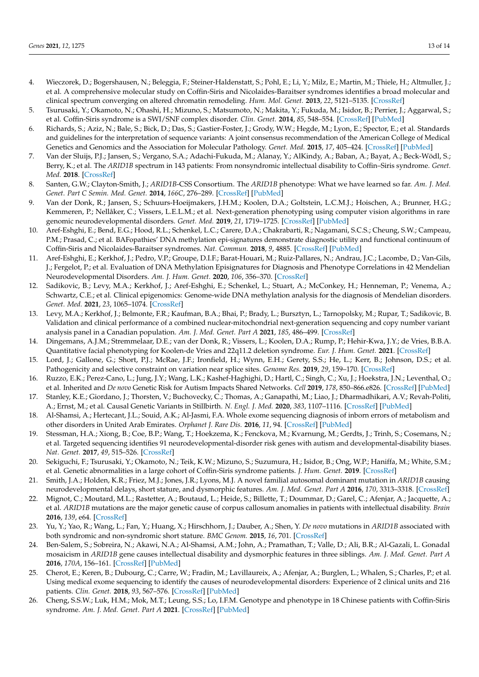- 4. Wieczorek, D.; Bogershausen, N.; Beleggia, F.; Steiner-Haldenstatt, S.; Pohl, E.; Li, Y.; Milz, E.; Martin, M.; Thiele, H.; Altmuller, J.; et al. A comprehensive molecular study on Coffin-Siris and Nicolaides-Baraitser syndromes identifies a broad molecular and clinical spectrum converging on altered chromatin remodeling. *Hum. Mol. Genet.* **2013**, *22*, 5121–5135. [\[CrossRef\]](http://doi.org/10.1093/hmg/ddt366)
- <span id="page-12-0"></span>5. Tsurusaki, Y.; Okamoto, N.; Ohashi, H.; Mizuno, S.; Matsumoto, N.; Makita, Y.; Fukuda, M.; Isidor, B.; Perrier, J.; Aggarwal, S.; et al. Coffin-Siris syndrome is a SWI/SNF complex disorder. *Clin. Genet.* **2014**, *85*, 548–554. [\[CrossRef\]](http://doi.org/10.1111/cge.12225) [\[PubMed\]](http://www.ncbi.nlm.nih.gov/pubmed/23815551)
- <span id="page-12-1"></span>6. Richards, S.; Aziz, N.; Bale, S.; Bick, D.; Das, S.; Gastier-Foster, J.; Grody, W.W.; Hegde, M.; Lyon, E.; Spector, E.; et al. Standards and guidelines for the interpretation of sequence variants: A joint consensus recommendation of the American College of Medical Genetics and Genomics and the Association for Molecular Pathology. *Genet. Med.* **2015**, *17*, 405–424. [\[CrossRef\]](http://doi.org/10.1038/gim.2015.30) [\[PubMed\]](http://www.ncbi.nlm.nih.gov/pubmed/25741868)
- <span id="page-12-2"></span>7. Van der Sluijs, P.J.; Jansen, S.; Vergano, S.A.; Adachi-Fukuda, M.; Alanay, Y.; AlKindy, A.; Baban, A.; Bayat, A.; Beck-Wödl, S.; Berry, K.; et al. The *ARID1B* spectrum in 143 patients: From nonsyndromic intellectual disability to Coffin–Siris syndrome. *Genet. Med.* **2018**. [\[CrossRef\]](http://doi.org/10.1038/s41436-018-0330-z)
- <span id="page-12-3"></span>8. Santen, G.W.; Clayton-Smith, J.; *ARID1B*-CSS Consortium. The *ARID1B* phenotype: What we have learned so far. *Am. J. Med. Genet. Part C Semin. Med. Genet.* **2014**, *166C*, 276–289. [\[CrossRef\]](http://doi.org/10.1002/ajmg.c.31414) [\[PubMed\]](http://www.ncbi.nlm.nih.gov/pubmed/25169814)
- <span id="page-12-4"></span>9. Van der Donk, R.; Jansen, S.; Schuurs-Hoeijmakers, J.H.M.; Koolen, D.A.; Goltstein, L.C.M.J.; Hoischen, A.; Brunner, H.G.; Kemmeren, P.; Nellåker, C.; Vissers, L.E.L.M.; et al. Next-generation phenotyping using computer vision algorithms in rare genomic neurodevelopmental disorders. *Genet. Med.* **2019**, *21*, 1719–1725. [\[CrossRef\]](http://doi.org/10.1038/s41436-018-0404-y) [\[PubMed\]](http://www.ncbi.nlm.nih.gov/pubmed/30568311)
- <span id="page-12-5"></span>10. Aref-Eshghi, E.; Bend, E.G.; Hood, R.L.; Schenkel, L.C.; Carere, D.A.; Chakrabarti, R.; Nagamani, S.C.S.; Cheung, S.W.; Campeau, P.M.; Prasad, C.; et al. BAFopathies' DNA methylation epi-signatures demonstrate diagnostic utility and functional continuum of Coffin-Siris and Nicolaides-Baraitser syndromes. *Nat. Commun.* **2018**, *9*, 4885. [\[CrossRef\]](http://doi.org/10.1038/s41467-018-07193-y) [\[PubMed\]](http://www.ncbi.nlm.nih.gov/pubmed/30459321)
- <span id="page-12-6"></span>11. Aref-Eshghi, E.; Kerkhof, J.; Pedro, V.P.; Groupe, D.I.F.; Barat-Houari, M.; Ruiz-Pallares, N.; Andrau, J.C.; Lacombe, D.; Van-Gils, J.; Fergelot, P.; et al. Evaluation of DNA Methylation Episignatures for Diagnosis and Phenotype Correlations in 42 Mendelian Neurodevelopmental Disorders. *Am. J. Hum. Genet.* **2020**, *106*, 356–370. [\[CrossRef\]](http://doi.org/10.1016/j.ajhg.2020.01.019)
- <span id="page-12-7"></span>12. Sadikovic, B.; Levy, M.A.; Kerkhof, J.; Aref-Eshghi, E.; Schenkel, L.; Stuart, A.; McConkey, H.; Henneman, P.; Venema, A.; Schwartz, C.E.; et al. Clinical epigenomics: Genome-wide DNA methylation analysis for the diagnosis of Mendelian disorders. *Genet. Med.* **2021**, *23*, 1065–1074. [\[CrossRef\]](http://doi.org/10.1038/s41436-020-01096-4)
- <span id="page-12-8"></span>13. Levy, M.A.; Kerkhof, J.; Belmonte, F.R.; Kaufman, B.A.; Bhai, P.; Brady, L.; Bursztyn, L.; Tarnopolsky, M.; Rupar, T.; Sadikovic, B. Validation and clinical performance of a combined nuclear-mitochondrial next-generation sequencing and copy number variant analysis panel in a Canadian population. *Am. J. Med. Genet. Part A* **2021**, *185*, 486–499. [\[CrossRef\]](http://doi.org/10.1002/ajmg.a.61998)
- <span id="page-12-9"></span>14. Dingemans, A.J.M.; Stremmelaar, D.E.; van der Donk, R.; Vissers, L.; Koolen, D.A.; Rump, P.; Hehir-Kwa, J.Y.; de Vries, B.B.A. Quantitative facial phenotyping for Koolen-de Vries and 22q11.2 deletion syndrome. *Eur. J. Hum. Genet.* **2021**. [\[CrossRef\]](http://doi.org/10.1038/s41431-021-00824-x)
- <span id="page-12-10"></span>15. Lord, J.; Gallone, G.; Short, P.J.; McRae, J.F.; Ironfield, H.; Wynn, E.H.; Gerety, S.S.; He, L.; Kerr, B.; Johnson, D.S.; et al. Pathogenicity and selective constraint on variation near splice sites. *Genome Res.* **2019**, *29*, 159–170. [\[CrossRef\]](http://doi.org/10.1101/gr.238444.118)
- <span id="page-12-11"></span>16. Ruzzo, E.K.; Perez-Cano, L.; Jung, J.Y.; Wang, L.K.; Kashef-Haghighi, D.; Hartl, C.; Singh, C.; Xu, J.; Hoekstra, J.N.; Leventhal, O.; et al. Inherited and *De novo* Genetic Risk for Autism Impacts Shared Networks. *Cell* **2019**, *178*, 850–866.e826. [\[CrossRef\]](http://doi.org/10.1016/j.cell.2019.07.015) [\[PubMed\]](http://www.ncbi.nlm.nih.gov/pubmed/31398340)
- <span id="page-12-12"></span>17. Stanley, K.E.; Giordano, J.; Thorsten, V.; Buchovecky, C.; Thomas, A.; Ganapathi, M.; Liao, J.; Dharmadhikari, A.V.; Revah-Politi, A.; Ernst, M.; et al. Causal Genetic Variants in Stillbirth. *N. Engl. J. Med.* **2020**, *383*, 1107–1116. [\[CrossRef\]](http://doi.org/10.1056/NEJMoa1908753) [\[PubMed\]](http://www.ncbi.nlm.nih.gov/pubmed/32786180)
- <span id="page-12-13"></span>18. Al-Shamsi, A.; Hertecant, J.L.; Souid, A.K.; Al-Jasmi, F.A. Whole exome sequencing diagnosis of inborn errors of metabolism and other disorders in United Arab Emirates. *Orphanet J. Rare Dis.* **2016**, *11*, 94. [\[CrossRef\]](http://doi.org/10.1186/s13023-016-0474-3) [\[PubMed\]](http://www.ncbi.nlm.nih.gov/pubmed/27391121)
- <span id="page-12-15"></span>19. Stessman, H.A.; Xiong, B.; Coe, B.P.; Wang, T.; Hoekzema, K.; Fenckova, M.; Kvarnung, M.; Gerdts, J.; Trinh, S.; Cosemans, N.; et al. Targeted sequencing identifies 91 neurodevelopmental-disorder risk genes with autism and developmental-disability biases. *Nat. Genet.* **2017**, *49*, 515–526. [\[CrossRef\]](http://doi.org/10.1038/ng.3792)
- <span id="page-12-14"></span>20. Sekiguchi, F.; Tsurusaki, Y.; Okamoto, N.; Teik, K.W.; Mizuno, S.; Suzumura, H.; Isidor, B.; Ong, W.P.; Haniffa, M.; White, S.M.; et al. Genetic abnormalities in a large cohort of Coffin-Siris syndrome patients. *J. Hum. Genet.* **2019**. [\[CrossRef\]](http://doi.org/10.1038/s10038-019-0667-4)
- <span id="page-12-16"></span>21. Smith, J.A.; Holden, K.R.; Friez, M.J.; Jones, J.R.; Lyons, M.J. A novel familial autosomal dominant mutation in *ARID1B* causing neurodevelopmental delays, short stature, and dysmorphic features. *Am. J. Med. Genet. Part A* **2016**, *170*, 3313–3318. [\[CrossRef\]](http://doi.org/10.1002/ajmg.a.37945)
- 22. Mignot, C.; Moutard, M.L.; Rastetter, A.; Boutaud, L.; Heide, S.; Billette, T.; Doummar, D.; Garel, C.; Afenjar, A.; Jacquette, A.; et al. *ARID1B* mutations are the major genetic cause of corpus callosum anomalies in patients with intellectual disability. *Brain* **2016**, *139*, e64. [\[CrossRef\]](http://doi.org/10.1093/brain/aww181)
- <span id="page-12-17"></span>23. Yu, Y.; Yao, R.; Wang, L.; Fan, Y.; Huang, X.; Hirschhorn, J.; Dauber, A.; Shen, Y. *De novo* mutations in *ARID1B* associated with both syndromic and non-syndromic short stature. *BMC Genom.* **2015**, *16*, 701. [\[CrossRef\]](http://doi.org/10.1186/s12864-015-1898-1)
- <span id="page-12-18"></span>24. Ben-Salem, S.; Sobreira, N.; Akawi, N.A.; Al-Shamsi, A.M.; John, A.; Pramathan, T.; Valle, D.; Ali, B.R.; Al-Gazali, L. Gonadal mosaicism in *ARID1B* gene causes intellectual disability and dysmorphic features in three siblings. *Am. J. Med. Genet. Part A* **2016**, *170A*, 156–161. [\[CrossRef\]](http://doi.org/10.1002/ajmg.a.37405) [\[PubMed\]](http://www.ncbi.nlm.nih.gov/pubmed/26395437)
- 25. Cherot, E.; Keren, B.; Dubourg, C.; Carre, W.; Fradin, M.; Lavillaureix, A.; Afenjar, A.; Burglen, L.; Whalen, S.; Charles, P.; et al. Using medical exome sequencing to identify the causes of neurodevelopmental disorders: Experience of 2 clinical units and 216 patients. *Clin. Genet.* **2018**, *93*, 567–576. [\[CrossRef\]](http://doi.org/10.1111/cge.13102) [\[PubMed\]](http://www.ncbi.nlm.nih.gov/pubmed/28708303)
- 26. Cheng, S.S.W.; Luk, H.M.; Mok, M.T.; Leung, S.S.; Lo, I.F.M. Genotype and phenotype in 18 Chinese patients with Coffin-Siris syndrome. *Am. J. Med. Genet. Part A* **2021**. [\[CrossRef\]](http://doi.org/10.1002/ajmg.a.62187) [\[PubMed\]](http://www.ncbi.nlm.nih.gov/pubmed/33768696)